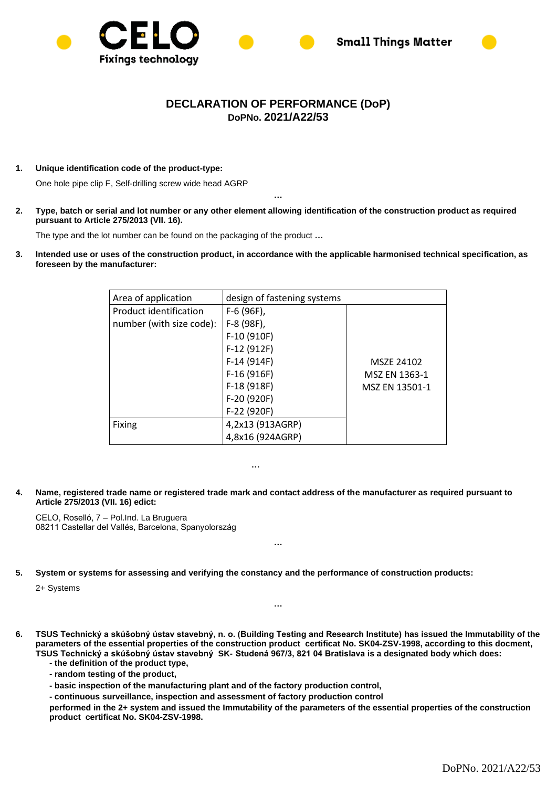



## **DECLARATION OF PERFORMANCE (DoP) DoPNo. 2021/A22/53**

**1. Unique identification code of the product-type:**

One hole pipe clip F, Self-drilling screw wide head AGRP

**2. Type, batch or serial and lot number or any other element allowing identification of the construction product as required pursuant to Article 275/2013 (VII. 16).**

**…**

The type and the lot number can be found on the packaging of the product **…**

**3. Intended use or uses of the construction product, in accordance with the applicable harmonised technical specification, as foreseen by the manufacturer:** 

| Area of application      | design of fastening systems |                |
|--------------------------|-----------------------------|----------------|
| Product identification   | F-6 (96F),                  |                |
| number (with size code): | F-8 (98F),                  |                |
|                          | F-10 (910F)                 |                |
|                          | F-12 (912F)                 |                |
|                          | $F-14(914F)$                | MSZE 24102     |
|                          | $F-16(916F)$                | MSZ EN 1363-1  |
|                          | F-18 (918F)                 | MSZ EN 13501-1 |
|                          | F-20 (920F)                 |                |
|                          | F-22 (920F)                 |                |
| <b>Fixing</b>            | 4,2x13 (913AGRP)            |                |
|                          | 4,8x16 (924AGRP)            |                |

**4. Name, registered trade name or registered trade mark and contact address of the manufacturer as required pursuant to Article 275/2013 (VII. 16) edict:**

**…**

CELO, Roselló, 7 – Pol.Ind. La Bruguera 08211 Castellar del Vallés, Barcelona, Spanyolország

**5. System or systems for assessing and verifying the constancy and the performance of construction products:**

2+ Systems

**6. TSUS Technický a skúšobný ústav stavebný, n. o. (Building Testing and Research Institute) has issued the Immutability of the parameters of the essential properties of the construction product certificat No. SK04-ZSV-1998, according to this docment, TSUS Technický a skúšobný ústav stavebný SK- Studená 967/3, 821 04 Bratislava is a designated body which does:**

**…**

**…**

- **- the definition of the product type,**
- **- random testing of the product,**
- **- basic inspection of the manufacturing plant and of the factory production control,**
- **- continuous surveillance, inspection and assessment of factory production control**

**performed in the 2+ system and issued the Immutability of the parameters of the essential properties of the construction product certificat No. SK04-ZSV-1998.**